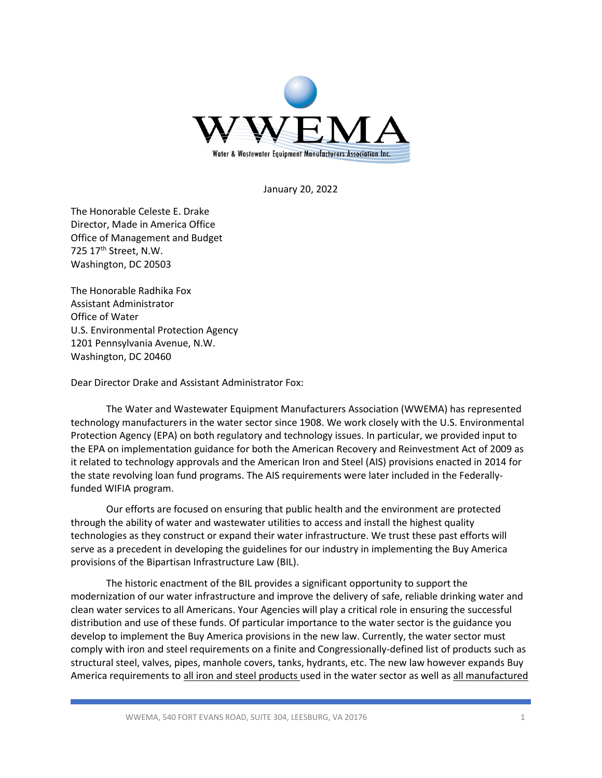

January 20, 2022

The Honorable Celeste E. Drake Director, Made in America Office Office of Management and Budget 725 17<sup>th</sup> Street, N.W. Washington, DC 20503

The Honorable Radhika Fox Assistant Administrator Office of Water U.S. Environmental Protection Agency 1201 Pennsylvania Avenue, N.W. Washington, DC 20460

Dear Director Drake and Assistant Administrator Fox:

The Water and Wastewater Equipment Manufacturers Association (WWEMA) has represented technology manufacturers in the water sector since 1908. We work closely with the U.S. Environmental Protection Agency (EPA) on both regulatory and technology issues. In particular, we provided input to the EPA on implementation guidance for both the American Recovery and Reinvestment Act of 2009 as it related to technology approvals and the American Iron and Steel (AIS) provisions enacted in 2014 for the state revolving loan fund programs. The AIS requirements were later included in the Federallyfunded WIFIA program.

Our efforts are focused on ensuring that public health and the environment are protected through the ability of water and wastewater utilities to access and install the highest quality technologies as they construct or expand their water infrastructure. We trust these past efforts will serve as a precedent in developing the guidelines for our industry in implementing the Buy America provisions of the Bipartisan Infrastructure Law (BIL).

The historic enactment of the BIL provides a significant opportunity to support the modernization of our water infrastructure and improve the delivery of safe, reliable drinking water and clean water services to all Americans. Your Agencies will play a critical role in ensuring the successful distribution and use of these funds. Of particular importance to the water sector is the guidance you develop to implement the Buy America provisions in the new law. Currently, the water sector must comply with iron and steel requirements on a finite and Congressionally-defined list of products such as structural steel, valves, pipes, manhole covers, tanks, hydrants, etc. The new law however expands Buy America requirements to all iron and steel products used in the water sector as well as all manufactured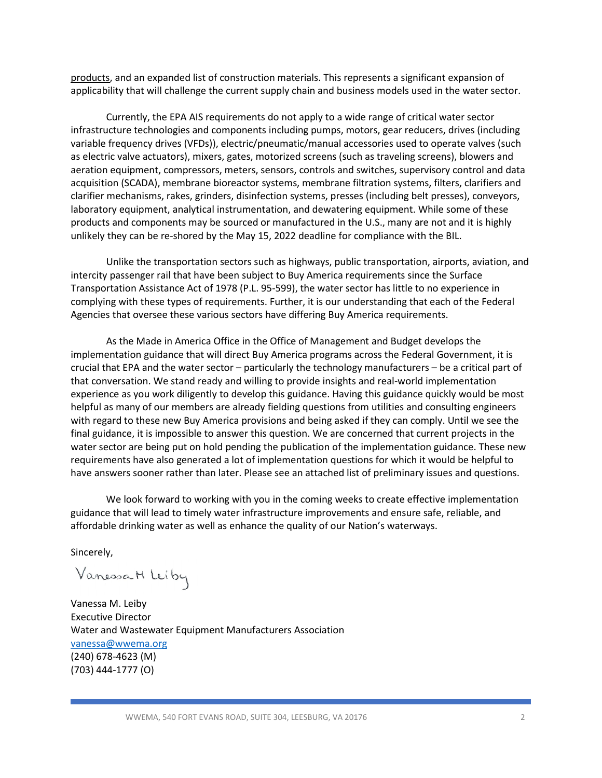products, and an expanded list of construction materials. This represents a significant expansion of applicability that will challenge the current supply chain and business models used in the water sector.

Currently, the EPA AIS requirements do not apply to a wide range of critical water sector infrastructure technologies and components including pumps, motors, gear reducers, drives (including variable frequency drives (VFDs)), electric/pneumatic/manual accessories used to operate valves (such as electric valve actuators), mixers, gates, motorized screens (such as traveling screens), blowers and aeration equipment, compressors, meters, sensors, controls and switches, supervisory control and data acquisition (SCADA), membrane bioreactor systems, membrane filtration systems, filters, clarifiers and clarifier mechanisms, rakes, grinders, disinfection systems, presses (including belt presses), conveyors, laboratory equipment, analytical instrumentation, and dewatering equipment. While some of these products and components may be sourced or manufactured in the U.S., many are not and it is highly unlikely they can be re-shored by the May 15, 2022 deadline for compliance with the BIL.

Unlike the transportation sectors such as highways, public transportation, airports, aviation, and intercity passenger rail that have been subject to Buy America requirements since the Surface Transportation Assistance Act of 1978 (P.L. 95-599), the water sector has little to no experience in complying with these types of requirements. Further, it is our understanding that each of the Federal Agencies that oversee these various sectors have differing Buy America requirements.

As the Made in America Office in the Office of Management and Budget develops the implementation guidance that will direct Buy America programs across the Federal Government, it is crucial that EPA and the water sector – particularly the technology manufacturers – be a critical part of that conversation. We stand ready and willing to provide insights and real-world implementation experience as you work diligently to develop this guidance. Having this guidance quickly would be most helpful as many of our members are already fielding questions from utilities and consulting engineers with regard to these new Buy America provisions and being asked if they can comply. Until we see the final guidance, it is impossible to answer this question. We are concerned that current projects in the water sector are being put on hold pending the publication of the implementation guidance. These new requirements have also generated a lot of implementation questions for which it would be helpful to have answers sooner rather than later. Please see an attached list of preliminary issues and questions.

We look forward to working with you in the coming weeks to create effective implementation guidance that will lead to timely water infrastructure improvements and ensure safe, reliable, and affordable drinking water as well as enhance the quality of our Nation's waterways.

Sincerely,

Vanessa M Leiby

Vanessa M. Leiby Executive Director Water and Wastewater Equipment Manufacturers Association [vanessa@wwema.org](mailto:vanessa@wwema.org) (240) 678-4623 (M) (703) 444-1777 (O)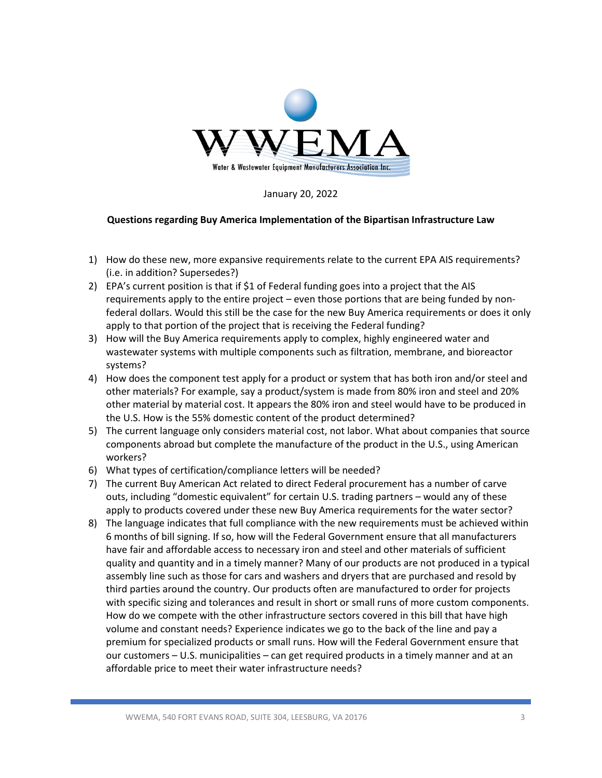

January 20, 2022

## **Questions regarding Buy America Implementation of the Bipartisan Infrastructure Law**

- 1) How do these new, more expansive requirements relate to the current EPA AIS requirements? (i.e. in addition? Supersedes?)
- 2) EPA's current position is that if \$1 of Federal funding goes into a project that the AIS requirements apply to the entire project – even those portions that are being funded by nonfederal dollars. Would this still be the case for the new Buy America requirements or does it only apply to that portion of the project that is receiving the Federal funding?
- 3) How will the Buy America requirements apply to complex, highly engineered water and wastewater systems with multiple components such as filtration, membrane, and bioreactor systems?
- 4) How does the component test apply for a product or system that has both iron and/or steel and other materials? For example, say a product/system is made from 80% iron and steel and 20% other material by material cost. It appears the 80% iron and steel would have to be produced in the U.S. How is the 55% domestic content of the product determined?
- 5) The current language only considers material cost, not labor. What about companies that source components abroad but complete the manufacture of the product in the U.S., using American workers?
- 6) What types of certification/compliance letters will be needed?
- 7) The current Buy American Act related to direct Federal procurement has a number of carve outs, including "domestic equivalent" for certain U.S. trading partners – would any of these apply to products covered under these new Buy America requirements for the water sector?
- 8) The language indicates that full compliance with the new requirements must be achieved within 6 months of bill signing. If so, how will the Federal Government ensure that all manufacturers have fair and affordable access to necessary iron and steel and other materials of sufficient quality and quantity and in a timely manner? Many of our products are not produced in a typical assembly line such as those for cars and washers and dryers that are purchased and resold by third parties around the country. Our products often are manufactured to order for projects with specific sizing and tolerances and result in short or small runs of more custom components. How do we compete with the other infrastructure sectors covered in this bill that have high volume and constant needs? Experience indicates we go to the back of the line and pay a premium for specialized products or small runs. How will the Federal Government ensure that our customers – U.S. municipalities – can get required products in a timely manner and at an affordable price to meet their water infrastructure needs?